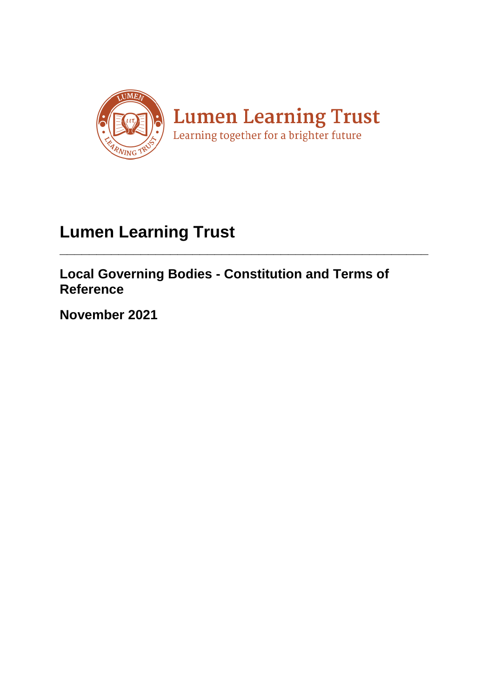

# **Lumen Learning Trust**

**Local Governing Bodies - Constitution and Terms of Reference**

**\_\_\_\_\_\_\_\_\_\_\_\_\_\_\_\_\_\_\_\_\_\_\_\_\_\_\_\_\_\_\_\_\_\_\_\_\_\_\_\_\_\_\_\_\_\_\_\_\_\_**

**November 2021**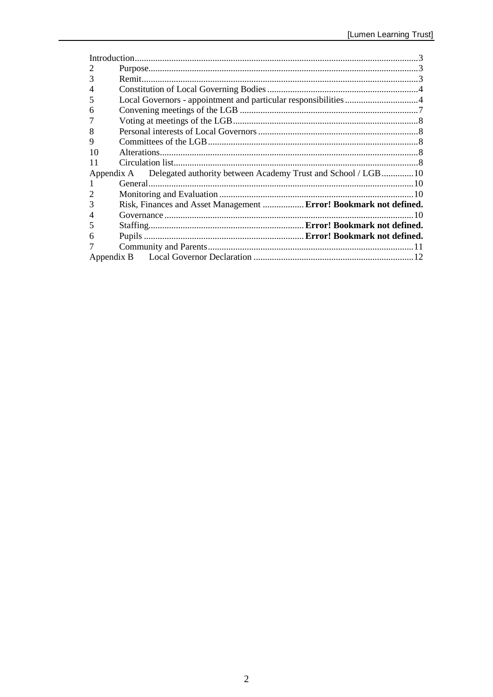| Introduction.         |                                                                         |  |
|-----------------------|-------------------------------------------------------------------------|--|
| $\mathcal{D}_{\cdot}$ |                                                                         |  |
|                       |                                                                         |  |
|                       |                                                                         |  |
| 5                     | Local Governors - appointment and particular responsibilities 4         |  |
| 6                     |                                                                         |  |
|                       |                                                                         |  |
| 8                     |                                                                         |  |
| 9                     |                                                                         |  |
| 10                    |                                                                         |  |
| 11                    |                                                                         |  |
|                       | Appendix A Delegated authority between Academy Trust and School / LGB10 |  |
|                       |                                                                         |  |
|                       |                                                                         |  |
| 3                     | Risk, Finances and Asset Management  Error! Bookmark not defined.       |  |
|                       |                                                                         |  |
| 5                     |                                                                         |  |
| h                     |                                                                         |  |
|                       |                                                                         |  |
|                       |                                                                         |  |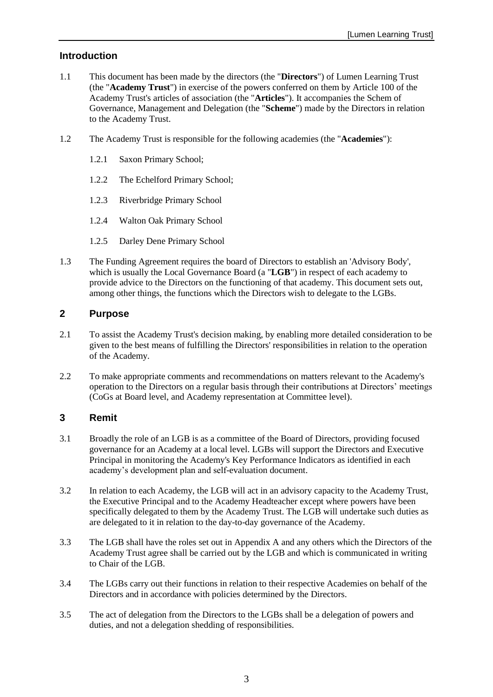# <span id="page-2-0"></span>**Introduction**

- 1.1 This document has been made by the directors (the "**Directors**") of Lumen Learning Trust (the "**Academy Trust**") in exercise of the powers conferred on them by Article 100 of the Academy Trust's articles of association (the "**Articles**"). It accompanies the Schem of Governance, Management and Delegation (the "**Scheme**") made by the Directors in relation to the Academy Trust.
- 1.2 The Academy Trust is responsible for the following academies (the "**Academies**"):
	- 1.2.1 Saxon Primary School;
	- 1.2.2 The Echelford Primary School;
	- 1.2.3 Riverbridge Primary School
	- 1.2.4 Walton Oak Primary School
	- 1.2.5 Darley Dene Primary School
- 1.3 The Funding Agreement requires the board of Directors to establish an 'Advisory Body', which is usually the Local Governance Board (a "**LGB**") in respect of each academy to provide advice to the Directors on the functioning of that academy. This document sets out, among other things, the functions which the Directors wish to delegate to the LGBs.

### <span id="page-2-1"></span>**2 Purpose**

- 2.1 To assist the Academy Trust's decision making, by enabling more detailed consideration to be given to the best means of fulfilling the Directors' responsibilities in relation to the operation of the Academy.
- 2.2 To make appropriate comments and recommendations on matters relevant to the Academy's operation to the Directors on a regular basis through their contributions at Directors' meetings (CoGs at Board level, and Academy representation at Committee level).

## <span id="page-2-2"></span>**3 Remit**

- 3.1 Broadly the role of an LGB is as a committee of the Board of Directors, providing focused governance for an Academy at a local level. LGBs will support the Directors and Executive Principal in monitoring the Academy's Key Performance Indicators as identified in each academy's development plan and self-evaluation document.
- 3.2 In relation to each Academy, the LGB will act in an advisory capacity to the Academy Trust, the Executive Principal and to the Academy Headteacher except where powers have been specifically delegated to them by the Academy Trust. The LGB will undertake such duties as are delegated to it in relation to the day-to-day governance of the Academy.
- <span id="page-2-3"></span>3.3 The LGB shall have the roles set out in [Appendix A](#page-9-0) and any others which the Directors of the Academy Trust agree shall be carried out by the LGB and which is communicated in writing to Chair of the LGB.
- 3.4 The LGBs carry out their functions in relation to their respective Academies on behalf of the Directors and in accordance with policies determined by the Directors.
- 3.5 The act of delegation from the Directors to the LGBs shall be a delegation of powers and duties, and not a delegation shedding of responsibilities.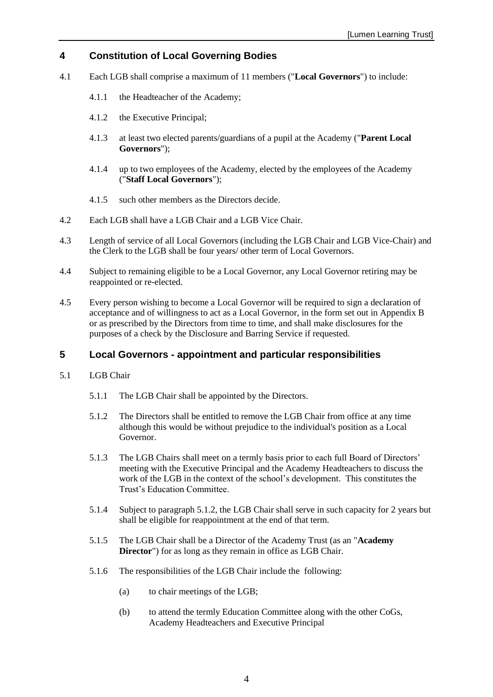# <span id="page-3-0"></span>**4 Constitution of Local Governing Bodies**

- 4.1 Each LGB shall comprise a maximum of 11 members ("**Local Governors**") to include:
	- 4.1.1 the Headteacher of the Academy;
	- 4.1.2 the Executive Principal;
	- 4.1.3 at least two elected parents/guardians of a pupil at the Academy ("**Parent Local Governors**");
	- 4.1.4 up to two employees of the Academy, elected by the employees of the Academy ("**Staff Local Governors**");
	- 4.1.5 such other members as the Directors decide.
- 4.2 Each LGB shall have a LGB Chair and a LGB Vice Chair.
- 4.3 Length of service of all Local Governors (including the LGB Chair and LGB Vice-Chair) and the Clerk to the LGB shall be four years/ other term of Local Governors.
- 4.4 Subject to remaining eligible to be a Local Governor, any Local Governor retiring may be reappointed or re-elected.
- 4.5 Every person wishing to become a Local Governor will be required to sign a declaration of acceptance and of willingness to act as a Local Governor, in the form set out in [Appendix B](#page-11-0) or as prescribed by the Directors from time to time, and shall make disclosures for the purposes of a check by the Disclosure and Barring Service if requested.

# <span id="page-3-1"></span>**5 Local Governors - appointment and particular responsibilities**

- <span id="page-3-2"></span>5.1 LGB Chair
	- 5.1.1 The LGB Chair shall be appointed by the Directors.
	- 5.1.2 The Directors shall be entitled to remove the LGB Chair from office at any time although this would be without prejudice to the individual's position as a Local Governor.
	- 5.1.3 The LGB Chairs shall meet on a termly basis prior to each full Board of Directors' meeting with the Executive Principal and the Academy Headteachers to discuss the work of the LGB in the context of the school's development. This constitutes the Trust's Education Committee.
	- 5.1.4 Subject to paragraph [5.1.2,](#page-3-2) the LGB Chair shall serve in such capacity for 2 years but shall be eligible for reappointment at the end of that term.
	- 5.1.5 The LGB Chair shall be a Director of the Academy Trust (as an "**Academy Director**") for as long as they remain in office as LGB Chair.
	- 5.1.6 The responsibilities of the LGB Chair include the following:
		- (a) to chair meetings of the LGB;
		- (b) to attend the termly Education Committee along with the other CoGs, Academy Headteachers and Executive Principal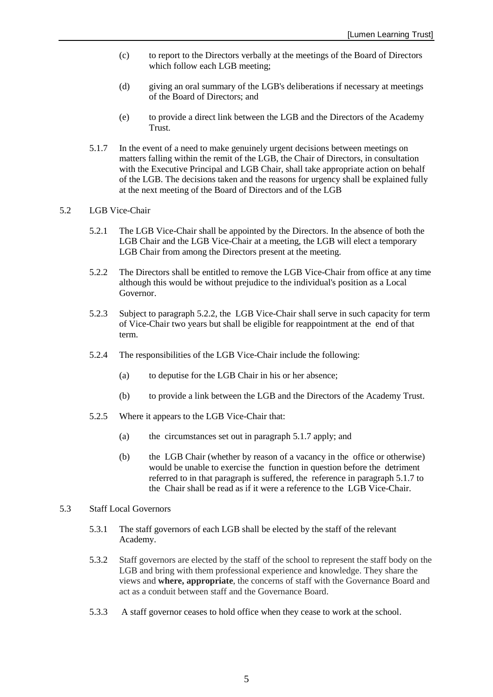- (c) to report to the Directors verbally at the meetings of the Board of Directors which follow each LGB meeting;
- (d) giving an oral summary of the LGB's deliberations if necessary at meetings of the Board of Directors; and
- (e) to provide a direct link between the LGB and the Directors of the Academy Trust.
- <span id="page-4-1"></span>5.1.7 In the event of a need to make genuinely urgent decisions between meetings on matters falling within the remit of the LGB, the Chair of Directors, in consultation with the Executive Principal and LGB Chair, shall take appropriate action on behalf of the LGB. The decisions taken and the reasons for urgency shall be explained fully at the next meeting of the Board of Directors and of the LGB

#### 5.2 LGB Vice-Chair

- 5.2.1 The LGB Vice-Chair shall be appointed by the Directors. In the absence of both the LGB Chair and the LGB Vice-Chair at a meeting, the LGB will elect a temporary LGB Chair from among the Directors present at the meeting.
- <span id="page-4-0"></span>5.2.2 The Directors shall be entitled to remove the LGB Vice-Chair from office at any time although this would be without prejudice to the individual's position as a Local Governor.
- 5.2.3 Subject to paragraph [5.2.2,](#page-4-0) the LGB Vice-Chair shall serve in such capacity for term of Vice-Chair two years but shall be eligible for reappointment at the end of that term.
- 5.2.4 The responsibilities of the LGB Vice-Chair include the following:
	- (a) to deputise for the LGB Chair in his or her absence;
	- (b) to provide a link between the LGB and the Directors of the Academy Trust.
- 5.2.5 Where it appears to the LGB Vice-Chair that:
	- (a) the circumstances set out in paragraph [5.1.7](#page-4-1) apply; and
	- (b) the LGB Chair (whether by reason of a vacancy in the office or otherwise) would be unable to exercise the function in question before the detriment referred to in that paragraph is suffered, the reference in paragraph [5.1.7](#page-4-1) to the Chair shall be read as if it were a reference to the LGB Vice-Chair.

#### 5.3 Staff Local Governors

- 5.3.1 The staff governors of each LGB shall be elected by the staff of the relevant Academy.
- 5.3.2 Staff governors are elected by the staff of the school to represent the staff body on the LGB and bring with them professional experience and knowledge. They share the views and **where, appropriate**, the concerns of staff with the Governance Board and act as a conduit between staff and the Governance Board.
- 5.3.3 A staff governor ceases to hold office when they cease to work at the school.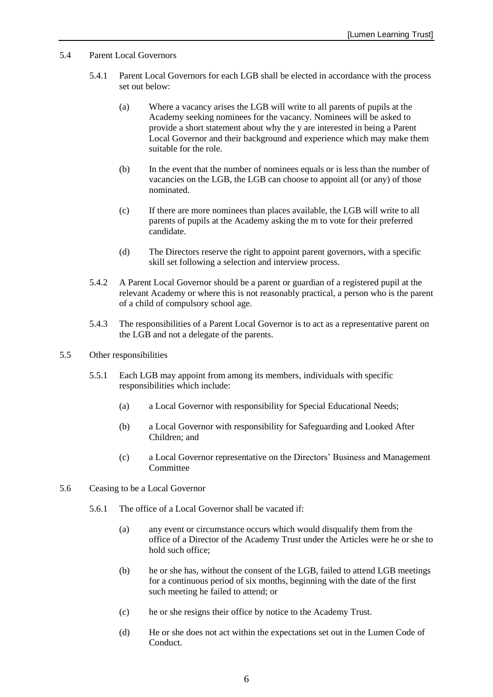- 5.4 Parent Local Governors
	- 5.4.1 Parent Local Governors for each LGB shall be elected in accordance with the process set out below:
		- (a) Where a vacancy arises the LGB will write to all parents of pupils at the Academy seeking nominees for the vacancy. Nominees will be asked to provide a short statement about why the y are interested in being a Parent Local Governor and their background and experience which may make them suitable for the role.
		- (b) In the event that the number of nominees equals or is less than the number of vacancies on the LGB, the LGB can choose to appoint all (or any) of those nominated.
		- (c) If there are more nominees than places available, the LGB will write to all parents of pupils at the Academy asking the m to vote for their preferred candidate.
		- (d) The Directors reserve the right to appoint parent governors, with a specific skill set following a selection and interview process.
	- 5.4.2 A Parent Local Governor should be a parent or guardian of a registered pupil at the relevant Academy or where this is not reasonably practical, a person who is the parent of a child of compulsory school age.
	- 5.4.3 The responsibilities of a Parent Local Governor is to act as a representative parent on the LGB and not a delegate of the parents.
- 5.5 Other responsibilities
	- 5.5.1 Each LGB may appoint from among its members, individuals with specific responsibilities which include:
		- (a) a Local Governor with responsibility for Special Educational Needs;
		- (b) a Local Governor with responsibility for Safeguarding and Looked After Children; and
		- (c) a Local Governor representative on the Directors' Business and Management **Committee**
- 5.6 Ceasing to be a Local Governor
	- 5.6.1 The office of a Local Governor shall be vacated if:
		- (a) any event or circumstance occurs which would disqualify them from the office of a Director of the Academy Trust under the Articles were he or she to hold such office;
		- (b) he or she has, without the consent of the LGB, failed to attend LGB meetings for a continuous period of six months, beginning with the date of the first such meeting he failed to attend; or
		- (c) he or she resigns their office by notice to the Academy Trust.
		- (d) He or she does not act within the expectations set out in the Lumen Code of Conduct.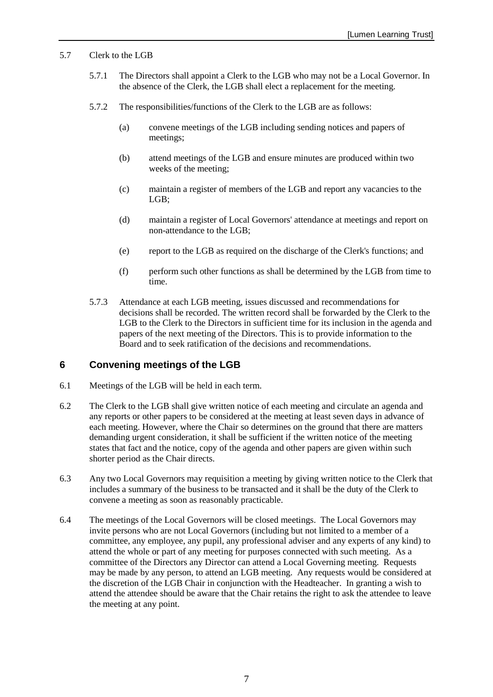#### 5.7 Clerk to the LGB

- 5.7.1 The Directors shall appoint a Clerk to the LGB who may not be a Local Governor. In the absence of the Clerk, the LGB shall elect a replacement for the meeting.
- 5.7.2 The responsibilities/functions of the Clerk to the LGB are as follows:
	- (a) convene meetings of the LGB including sending notices and papers of meetings;
	- (b) attend meetings of the LGB and ensure minutes are produced within two weeks of the meeting;
	- (c) maintain a register of members of the LGB and report any vacancies to the LGB;
	- (d) maintain a register of Local Governors' attendance at meetings and report on non-attendance to the LGB;
	- (e) report to the LGB as required on the discharge of the Clerk's functions; and
	- (f) perform such other functions as shall be determined by the LGB from time to time.
- 5.7.3 Attendance at each LGB meeting, issues discussed and recommendations for decisions shall be recorded. The written record shall be forwarded by the Clerk to the LGB to the Clerk to the Directors in sufficient time for its inclusion in the agenda and papers of the next meeting of the Directors. This is to provide information to the Board and to seek ratification of the decisions and recommendations.

# <span id="page-6-0"></span>**6 Convening meetings of the LGB**

- 6.1 Meetings of the LGB will be held in each term.
- 6.2 The Clerk to the LGB shall give written notice of each meeting and circulate an agenda and any reports or other papers to be considered at the meeting at least seven days in advance of each meeting. However, where the Chair so determines on the ground that there are matters demanding urgent consideration, it shall be sufficient if the written notice of the meeting states that fact and the notice, copy of the agenda and other papers are given within such shorter period as the Chair directs.
- 6.3 Any two Local Governors may requisition a meeting by giving written notice to the Clerk that includes a summary of the business to be transacted and it shall be the duty of the Clerk to convene a meeting as soon as reasonably practicable.
- 6.4 The meetings of the Local Governors will be closed meetings. The Local Governors may invite persons who are not Local Governors (including but not limited to a member of a committee, any employee, any pupil, any professional adviser and any experts of any kind) to attend the whole or part of any meeting for purposes connected with such meeting. As a committee of the Directors any Director can attend a Local Governing meeting. Requests may be made by any person, to attend an LGB meeting. Any requests would be considered at the discretion of the LGB Chair in conjunction with the Headteacher. In granting a wish to attend the attendee should be aware that the Chair retains the right to ask the attendee to leave the meeting at any point.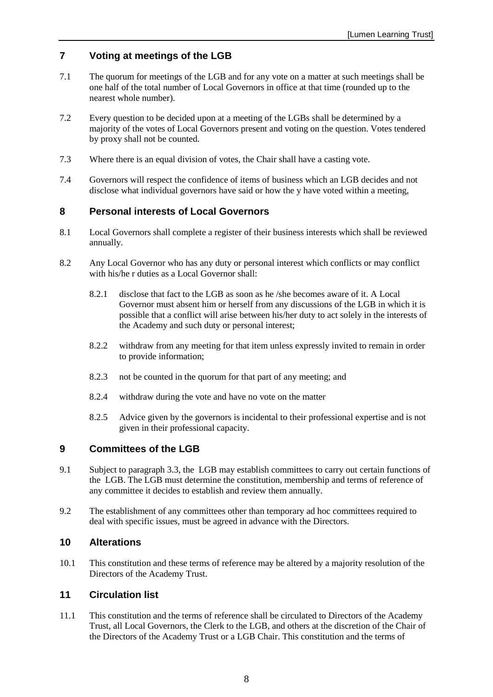# <span id="page-7-0"></span>**7 Voting at meetings of the LGB**

- 7.1 The quorum for meetings of the LGB and for any vote on a matter at such meetings shall be one half of the total number of Local Governors in office at that time (rounded up to the nearest whole number).
- 7.2 Every question to be decided upon at a meeting of the LGBs shall be determined by a majority of the votes of Local Governors present and voting on the question. Votes tendered by proxy shall not be counted.
- 7.3 Where there is an equal division of votes, the Chair shall have a casting vote.
- 7.4 Governors will respect the confidence of items of business which an LGB decides and not disclose what individual governors have said or how the y have voted within a meeting,

# <span id="page-7-1"></span>**8 Personal interests of Local Governors**

- 8.1 Local Governors shall complete a register of their business interests which shall be reviewed annually.
- 8.2 Any Local Governor who has any duty or personal interest which conflicts or may conflict with his/he r duties as a Local Governor shall:
	- 8.2.1 disclose that fact to the LGB as soon as he /she becomes aware of it. A Local Governor must absent him or herself from any discussions of the LGB in which it is possible that a conflict will arise between his/her duty to act solely in the interests of the Academy and such duty or personal interest;
	- 8.2.2 withdraw from any meeting for that item unless expressly invited to remain in order to provide information;
	- 8.2.3 not be counted in the quorum for that part of any meeting; and
	- 8.2.4 withdraw during the vote and have no vote on the matter
	- 8.2.5 Advice given by the governors is incidental to their professional expertise and is not given in their professional capacity.

#### <span id="page-7-2"></span>**9 Committees of the LGB**

- 9.1 Subject to paragraph [3.3,](#page-2-3) the LGB may establish committees to carry out certain functions of the LGB. The LGB must determine the constitution, membership and terms of reference of any committee it decides to establish and review them annually.
- 9.2 The establishment of any committees other than temporary ad hoc committees required to deal with specific issues, must be agreed in advance with the Directors.

#### <span id="page-7-3"></span>**10 Alterations**

10.1 This constitution and these terms of reference may be altered by a majority resolution of the Directors of the Academy Trust.

## <span id="page-7-4"></span>**11 Circulation list**

11.1 This constitution and the terms of reference shall be circulated to Directors of the Academy Trust, all Local Governors, the Clerk to the LGB, and others at the discretion of the Chair of the Directors of the Academy Trust or a LGB Chair. This constitution and the terms of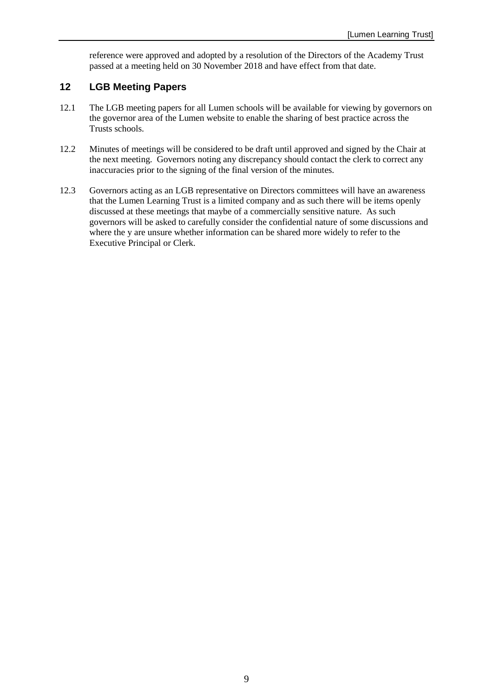reference were approved and adopted by a resolution of the Directors of the Academy Trust passed at a meeting held on 30 November 2018 and have effect from that date.

# **12 LGB Meeting Papers**

- 12.1 The LGB meeting papers for all Lumen schools will be available for viewing by governors on the governor area of the Lumen website to enable the sharing of best practice across the Trusts schools.
- 12.2 Minutes of meetings will be considered to be draft until approved and signed by the Chair at the next meeting. Governors noting any discrepancy should contact the clerk to correct any inaccuracies prior to the signing of the final version of the minutes.
- 12.3 Governors acting as an LGB representative on Directors committees will have an awareness that the Lumen Learning Trust is a limited company and as such there will be items openly discussed at these meetings that maybe of a commercially sensitive nature. As such governors will be asked to carefully consider the confidential nature of some discussions and where the y are unsure whether information can be shared more widely to refer to the Executive Principal or Clerk.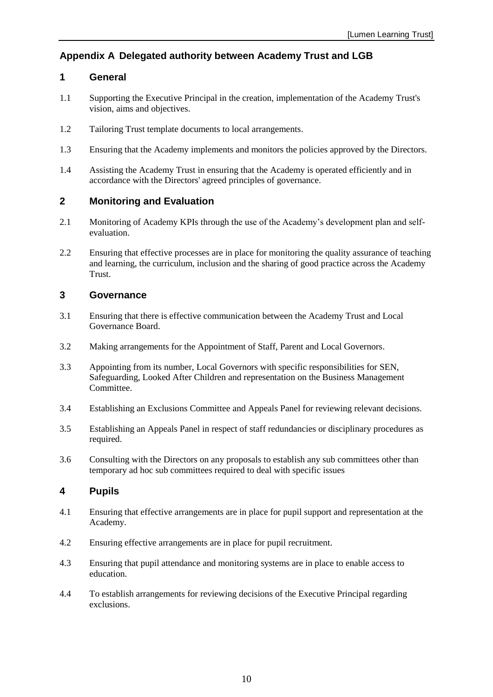# <span id="page-9-0"></span>**Appendix A Delegated authority between Academy Trust and LGB**

# <span id="page-9-1"></span>**1 General**

- 1.1 Supporting the Executive Principal in the creation, implementation of the Academy Trust's vision, aims and objectives.
- 1.2 Tailoring Trust template documents to local arrangements.
- 1.3 Ensuring that the Academy implements and monitors the policies approved by the Directors.
- 1.4 Assisting the Academy Trust in ensuring that the Academy is operated efficiently and in accordance with the Directors' agreed principles of governance.

## <span id="page-9-2"></span>**2 Monitoring and Evaluation**

- 2.1 Monitoring of Academy KPIs through the use of the Academy's development plan and selfevaluation.
- 2.2 Ensuring that effective processes are in place for monitoring the quality assurance of teaching and learning, the curriculum, inclusion and the sharing of good practice across the Academy Trust.

# <span id="page-9-3"></span>**3 Governance**

- 3.1 Ensuring that there is effective communication between the Academy Trust and Local Governance Board.
- 3.2 Making arrangements for the Appointment of Staff, Parent and Local Governors.
- 3.3 Appointing from its number, Local Governors with specific responsibilities for SEN, Safeguarding, Looked After Children and representation on the Business Management Committee.
- 3.4 Establishing an Exclusions Committee and Appeals Panel for reviewing relevant decisions.
- 3.5 Establishing an Appeals Panel in respect of staff redundancies or disciplinary procedures as required.
- 3.6 Consulting with the Directors on any proposals to establish any sub committees other than temporary ad hoc sub committees required to deal with specific issues

#### **4 Pupils**

- 4.1 Ensuring that effective arrangements are in place for pupil support and representation at the Academy.
- 4.2 Ensuring effective arrangements are in place for pupil recruitment.
- 4.3 Ensuring that pupil attendance and monitoring systems are in place to enable access to education.
- 4.4 To establish arrangements for reviewing decisions of the Executive Principal regarding exclusions.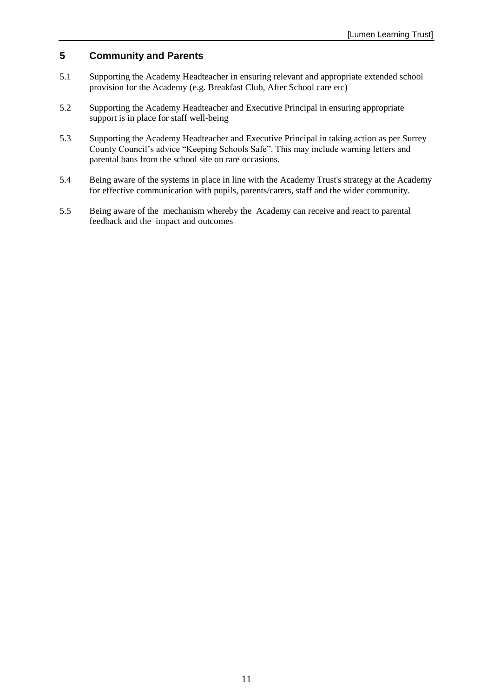# <span id="page-10-0"></span>**5 Community and Parents**

- 5.1 Supporting the Academy Headteacher in ensuring relevant and appropriate extended school provision for the Academy (e.g. Breakfast Club, After School care etc)
- 5.2 Supporting the Academy Headteacher and Executive Principal in ensuring appropriate support is in place for staff well-being
- 5.3 Supporting the Academy Headteacher and Executive Principal in taking action as per Surrey County Council's advice "Keeping Schools Safe". This may include warning letters and parental bans from the school site on rare occasions.
- 5.4 Being aware of the systems in place in line with the Academy Trust's strategy at the Academy for effective communication with pupils, parents/carers, staff and the wider community.
- 5.5 Being aware of the mechanism whereby the Academy can receive and react to parental feedback and the impact and outcomes